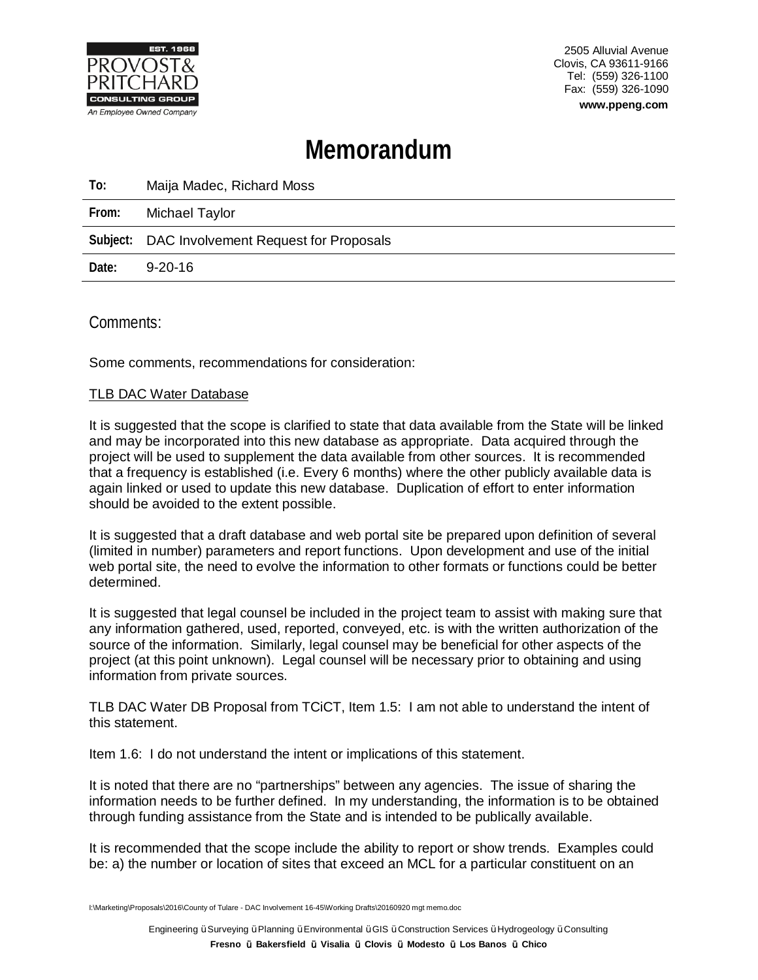

2505 Alluvial Avenue Clovis, CA 93611-9166 Tel: (559) 326-1100 Fax: (559) 326-1090 **www.ppeng.com**

# **Memorandum**

| To:   | Maija Madec, Richard Moss                      |
|-------|------------------------------------------------|
| From: | Michael Taylor                                 |
|       | Subject: DAC Involvement Request for Proposals |
| Date: | 9-20-16                                        |

Comments:

Some comments, recommendations for consideration:

## TLB DAC Water Database

It is suggested that the scope is clarified to state that data available from the State will be linked and may be incorporated into this new database as appropriate. Data acquired through the project will be used to supplement the data available from other sources. It is recommended that a frequency is established (i.e. Every 6 months) where the other publicly available data is again linked or used to update this new database. Duplication of effort to enter information should be avoided to the extent possible.

It is suggested that a draft database and web portal site be prepared upon definition of several (limited in number) parameters and report functions. Upon development and use of the initial web portal site, the need to evolve the information to other formats or functions could be better determined.

It is suggested that legal counsel be included in the project team to assist with making sure that any information gathered, used, reported, conveyed, etc. is with the written authorization of the source of the information. Similarly, legal counsel may be beneficial for other aspects of the project (at this point unknown). Legal counsel will be necessary prior to obtaining and using information from private sources.

TLB DAC Water DB Proposal from TCiCT, Item 1.5: I am not able to understand the intent of this statement.

Item 1.6: I do not understand the intent or implications of this statement.

It is noted that there are no "partnerships" between any agencies. The issue of sharing the information needs to be further defined. In my understanding, the information is to be obtained through funding assistance from the State and is intended to be publically available.

It is recommended that the scope include the ability to report or show trends. Examples could be: a) the number or location of sites that exceed an MCL for a particular constituent on an

I:\Marketing\Proposals\2016\County of Tulare - DAC Involvement 16-45\Working Drafts\20160920 mgt memo.doc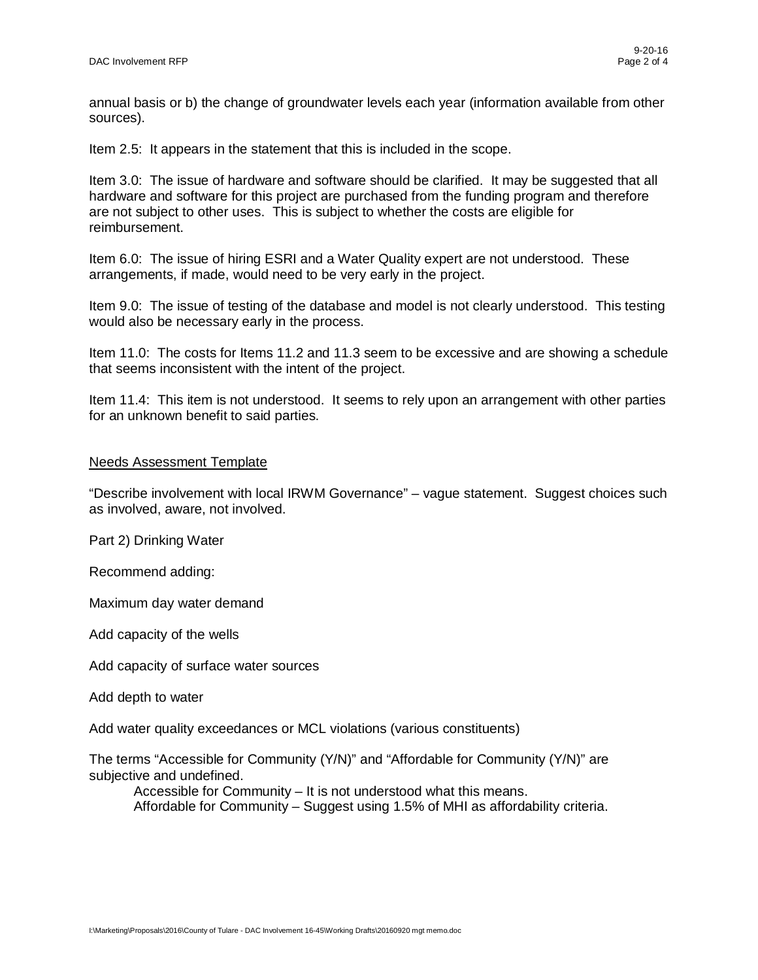annual basis or b) the change of groundwater levels each year (information available from other sources).

Item 2.5: It appears in the statement that this is included in the scope.

Item 3.0: The issue of hardware and software should be clarified. It may be suggested that all hardware and software for this project are purchased from the funding program and therefore are not subject to other uses. This is subject to whether the costs are eligible for reimbursement.

Item 6.0: The issue of hiring ESRI and a Water Quality expert are not understood. These arrangements, if made, would need to be very early in the project.

Item 9.0: The issue of testing of the database and model is not clearly understood. This testing would also be necessary early in the process.

Item 11.0: The costs for Items 11.2 and 11.3 seem to be excessive and are showing a schedule that seems inconsistent with the intent of the project.

Item 11.4: This item is not understood. It seems to rely upon an arrangement with other parties for an unknown benefit to said parties.

#### Needs Assessment Template

"Describe involvement with local IRWM Governance" – vague statement. Suggest choices such as involved, aware, not involved.

Part 2) Drinking Water

Recommend adding:

Maximum day water demand

Add capacity of the wells

Add capacity of surface water sources

Add depth to water

Add water quality exceedances or MCL violations (various constituents)

The terms "Accessible for Community (Y/N)" and "Affordable for Community (Y/N)" are subjective and undefined.

Accessible for Community – It is not understood what this means. Affordable for Community – Suggest using 1.5% of MHI as affordability criteria.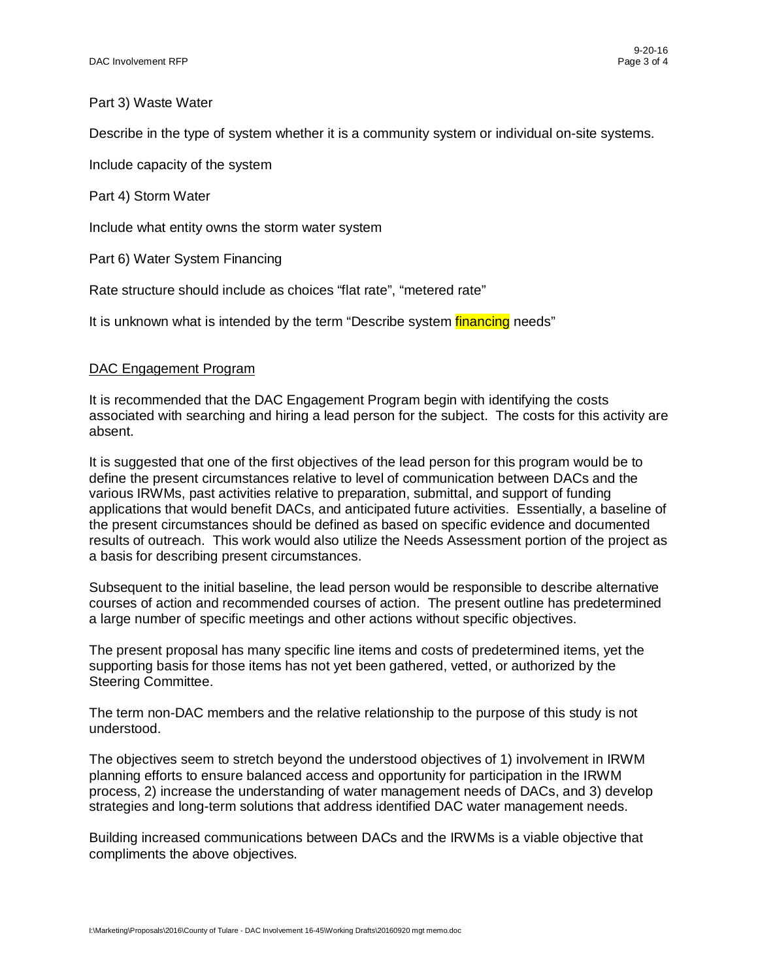#### Part 3) Waste Water

Describe in the type of system whether it is a community system or individual on-site systems.

Include capacity of the system

Part 4) Storm Water

Include what entity owns the storm water system

Part 6) Water System Financing

Rate structure should include as choices "flat rate", "metered rate"

It is unknown what is intended by the term "Describe system *financing* needs"

#### DAC Engagement Program

It is recommended that the DAC Engagement Program begin with identifying the costs associated with searching and hiring a lead person for the subject. The costs for this activity are absent.

It is suggested that one of the first objectives of the lead person for this program would be to define the present circumstances relative to level of communication between DACs and the various IRWMs, past activities relative to preparation, submittal, and support of funding applications that would benefit DACs, and anticipated future activities. Essentially, a baseline of the present circumstances should be defined as based on specific evidence and documented results of outreach. This work would also utilize the Needs Assessment portion of the project as a basis for describing present circumstances.

Subsequent to the initial baseline, the lead person would be responsible to describe alternative courses of action and recommended courses of action. The present outline has predetermined a large number of specific meetings and other actions without specific objectives.

The present proposal has many specific line items and costs of predetermined items, yet the supporting basis for those items has not yet been gathered, vetted, or authorized by the Steering Committee.

The term non-DAC members and the relative relationship to the purpose of this study is not understood.

The objectives seem to stretch beyond the understood objectives of 1) involvement in IRWM planning efforts to ensure balanced access and opportunity for participation in the IRWM process, 2) increase the understanding of water management needs of DACs, and 3) develop strategies and long-term solutions that address identified DAC water management needs.

Building increased communications between DACs and the IRWMs is a viable objective that compliments the above objectives.